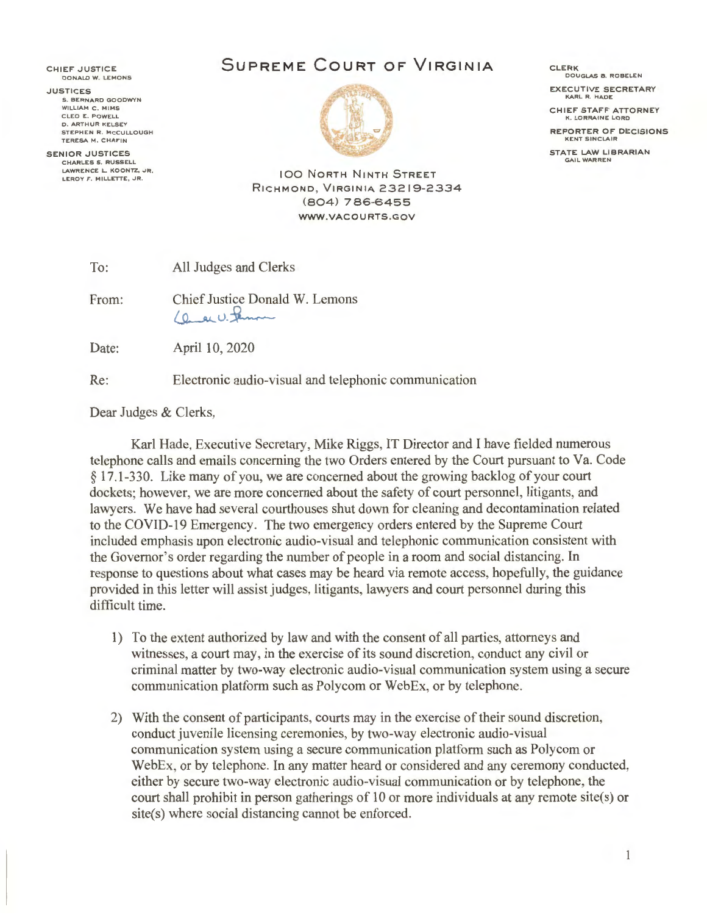CHIEF JUSTICE **DONALD W . LEMO NS** 

**JUSTICES S . BERNARD GOODWYN WI LLIAM C . M IM S CLEO E. POWELL D . ARTHUR KELSEY STEPHEN R. MCCULLOUGH TERESA M . CHAFIN** 

**SENIOR JUSTICES CHARLES 5 . RUSSELL LAWRENCE L. KOONTZ, JR. LEROY F . MILLETTE, JR.** 

 $\overline{1}$ 

## **SUPREME COURT OF VIRGINIA**



CLERK **DOUGLAS B . ROBELEN** 

EXECUTIVE SECRETARY **KARL R. HADE** 

CHIEF STAFF ATTORNEY **K. LORRAINE LORD** 

REPORTER OF DECISIONS **KENT SINCLAIR** 

STATE LAW LIBRARIAN **GAIL WARREN** 

**IOO NORTH NINTH STREET** RICHMOND , VIRGINIA 23219-2334 (804) 786-6455 **WWW.VACOURTS.GOV** 

| lo: |  | All Judges and Clerks |
|-----|--|-----------------------|
|-----|--|-----------------------|

From: Chief Justice Donald W. Lemons (a ac U. Jeman

Date: April 10, 2020

Re: Electronic audio-visual and telephonic communication

Dear Judges & Clerks,

Karl Hade, Executive Secretary, Mike Riggs, IT Director and I have fielded numerous telephone calls and emails concerning the two Orders entered by the Court pursuant to Va. Code § 17.1-330. Like many of you, we are concerned about the growing backlog of your court dockets; however, we are more concerned about the safety of court personnel, litigants, and lawyers. We have had several courthouses shut down for cleaning and decontamination related to the COVID-19 Emergency. The two emergency orders entered by the Supreme Court included emphasis upon electronic audio-visual and telephonic communication consistent with the Governor's order regarding the number of people in a room and social distancing. In response to questions about what cases may be heard via remote access, hopefully, the guidance provided in this letter will assist judges, litigants, lawyers and court personnel during this difficult time.

- 1) To the extent authorized by law and with the consent of all parties, attorneys and witnesses, a court may, in the exercise of its sound discretion, conduct any civil or criminal matter by two-way electronic audio-visual communication system using a secure communication platform such as Polycom or WebEx, or by telephone.
- 2) With the consent of participants, courts may in the exercise of their sound discretion, conduct juvenile licensing ceremonies, by two-way electronic audio-visual communication system using a secure communication platform such as Polycom or WebEx, or by telephone. In any matter heard or considered and any ceremony conducted, either by secure two-way electronic audio-visual communication or by telephone, the court shall prohibit in person gatherings of 10 or more individuals at any remote site(s) or site(s) where social distancing cannot be enforced.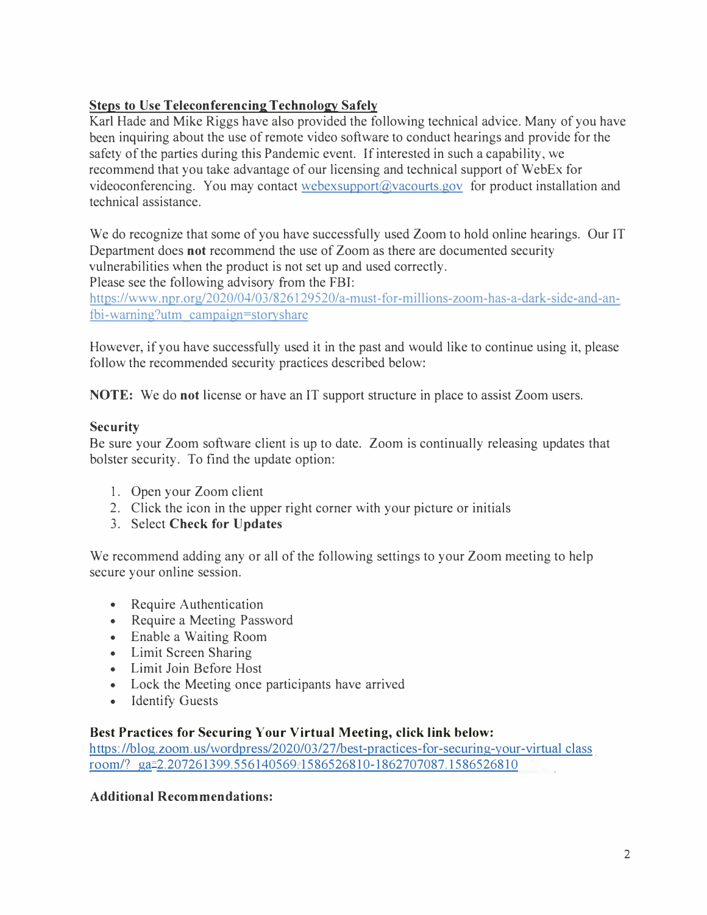# **Steps to Use Teleconferencing Technology Safely**

Karl Hade and Mike Riggs have also provided the following technical advice. Many of you have been inquiring about the use of remote video software to conduct hearings and provide for the safety of the parties during this Pandemic event. If interested in such a capability, we recommend that you take advantage of our licensing and technical support of WebEx for videoconferencing. You may contact [webexsupport@vacourts.gov fo](mailto:webexsupport@vacourts.gov)r product installation and technical assistance.

We do recognize that some of you have successfully used Zoom to hold online hearings. Our IT Department does **not** recommend the use of Zoom as there are documented security vulnerabilities when the product is not set up and used correctly. Please see the following advisory from the FBI:

[https://www.npr.org/2020/04/03/826129520/a-must-for-millions-zoom-has-a-dark-side-and-an](https://www.npr.org/2020/04/03/826129520/a-must-for-millions-zoom-has-a-dark-side-and-an�fbi-warning?utm)fbi-[warning?utm ca](https://www.npr.org/2020/04/03/826129520/a-must-for-millions-zoom-has-a-dark-side-and-an�fbi-warning?utm)mpaign=story share

However, if you have successfully used it in the past and would like to continue using it, please follow the recommended security practices described below:

**NOTE:** We do **not** license or have an IT support structure in place to assist Zoom users.

## **Security**

Be sure your Zoom software client is up to date. Zoom is continually releasing updates that bolster security. To find the update option:

- l. Open your Zoom client
- 2. Click the icon in the upper right corner with your picture or initials
- 3. Select **Check for Updates**

We recommend adding any or all of the following settings to your Zoom meeting to help secure your online session.

- Require Authentication
- Require a Meeting Password
- Enable a Waiting Room
- Limit Screen Sharing
- Limit Join Before Host
- Lock the Meeting once participants have arrived
- Identify Guests

### **Best Practices for Securing Your Virtual Meeting, click link below:**

https://blog.zoom.us/wordpress/2020/03/27/best-practices-for-securing-your-virtual class room/? ga=2.207261399.556140569.1586526810-1862707087.1586526810

### **Additional Recommendations:**